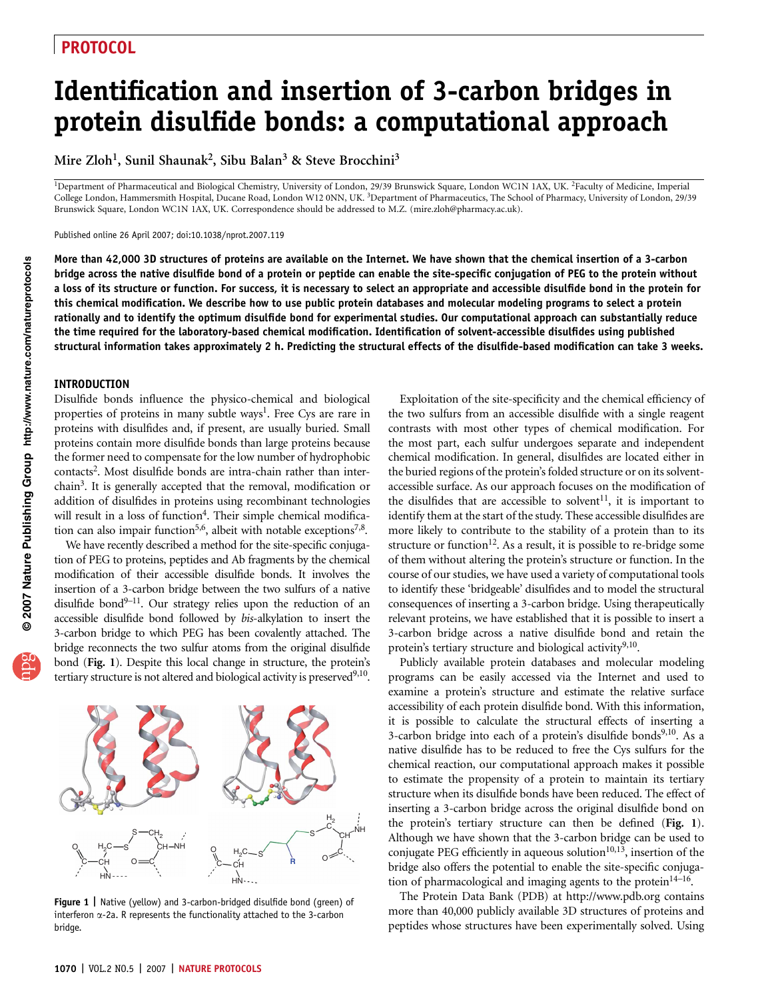# Identification and insertion of 3-carbon bridges in protein disulfide bonds: a computational approach

Mire Zloh<sup>1</sup>, Sunil Shaunak<sup>2</sup>, Sibu Balan<sup>3</sup> & Steve Brocchini<sup>3</sup>

<sup>1</sup>Department of Pharmaceutical and Biological Chemistry, University of London, 29/39 Brunswick Square, London WC1N 1AX, UK. <sup>2</sup>Faculty of Medicine, Imperial College London, Hammersmith Hospital, Ducane Road, London W12 0NN, UK. 3Department of Pharmaceutics, The School of Pharmacy, University of London, 29/39 Brunswick Square, London WC1N 1AX, UK. Correspondence should be addressed to M.Z. (mire.zloh@pharmacy.ac.uk).

Published online 26 April 2007; doi:10.1038/nprot.2007.119

More than 42,000 3D structures of proteins are available on the Internet. We have shown that the chemical insertion of a 3-carbon bridge across the native disulfide bond of a protein or peptide can enable the site-specific conjugation of PEG to the protein without a loss of its structure or function. For success, it is necessary to select an appropriate and accessible disulfide bond in the protein for this chemical modification. We describe how to use public protein databases and molecular modeling programs to select a protein rationally and to identify the optimum disulfide bond for experimental studies. Our computational approach can substantially reduce the time required for the laboratory-based chemical modification. Identification of solvent-accessible disulfides using published structural information takes approximately 2 h. Predicting the structural effects of the disulfide-based modification can take 3 weeks.

#### INTRODUCTION

Disulfide bonds influence the physico-chemical and biological properties of proteins in many subtle ways<sup>1</sup>. Free Cys are rare in proteins with disulfides and, if present, are usually buried. Small proteins contain more disulfide bonds than large proteins because the former need to compensate for the low number of hydrophobic contacts<sup>2</sup>. Most disulfide bonds are intra-chain rather than interchain<sup>3</sup>. It is generally accepted that the removal, modification or addition of disulfides in proteins using recombinant technologies will result in a loss of function<sup>4</sup>. Their simple chemical modification can also impair function<sup>5,6</sup>, albeit with notable exceptions<sup>7,8</sup>.

We have recently described a method for the site-specific conjugation of PEG to proteins, peptides and Ab fragments by the chemical modification of their accessible disulfide bonds. It involves the insertion of a 3-carbon bridge between the two sulfurs of a native disulfide bond<sup>9-11</sup>. Our strategy relies upon the reduction of an accessible disulfide bond followed by bis-alkylation to insert the 3-carbon bridge to which PEG has been covalently attached. The bridge reconnects the two sulfur atoms from the original disulfide bond (Fig. 1). Despite this local change in structure, the protein's tertiary structure is not altered and biological activity is preserved<sup>9,10</sup>.



Figure 1 | Native (yellow) and 3-carbon-bridged disulfide bond (green) of interferon  $\alpha$ -2a. R represents the functionality attached to the 3-carbon bridge.

Exploitation of the site-specificity and the chemical efficiency of the two sulfurs from an accessible disulfide with a single reagent contrasts with most other types of chemical modification. For the most part, each sulfur undergoes separate and independent chemical modification. In general, disulfides are located either in the buried regions of the protein's folded structure or on its solventaccessible surface. As our approach focuses on the modification of the disulfides that are accessible to solvent<sup>11</sup>, it is important to identify them at the start of the study. These accessible disulfides are more likely to contribute to the stability of a protein than to its structure or function<sup>12</sup>. As a result, it is possible to re-bridge some of them without altering the protein's structure or function. In the course of our studies, we have used a variety of computational tools to identify these 'bridgeable' disulfides and to model the structural consequences of inserting a 3-carbon bridge. Using therapeutically relevant proteins, we have established that it is possible to insert a 3-carbon bridge across a native disulfide bond and retain the protein's tertiary structure and biological activity<sup>9,10</sup>.

Publicly available protein databases and molecular modeling programs can be easily accessed via the Internet and used to examine a protein's structure and estimate the relative surface accessibility of each protein disulfide bond. With this information, it is possible to calculate the structural effects of inserting a 3-carbon bridge into each of a protein's disulfide bonds<sup>9,10</sup>. As a native disulfide has to be reduced to free the Cys sulfurs for the chemical reaction, our computational approach makes it possible to estimate the propensity of a protein to maintain its tertiary structure when its disulfide bonds have been reduced. The effect of inserting a 3-carbon bridge across the original disulfide bond on the protein's tertiary structure can then be defined (Fig. 1). Although we have shown that the 3-carbon bridge can be used to conjugate PEG efficiently in aqueous solution $10,13$ , insertion of the bridge also offers the potential to enable the site-specific conjugation of pharmacological and imaging agents to the protein $14-16$ .

The Protein Data Bank (PDB) at http://www.pdb.org contains more than 40,000 publicly available 3D structures of proteins and peptides whose structures have been experimentally solved. Using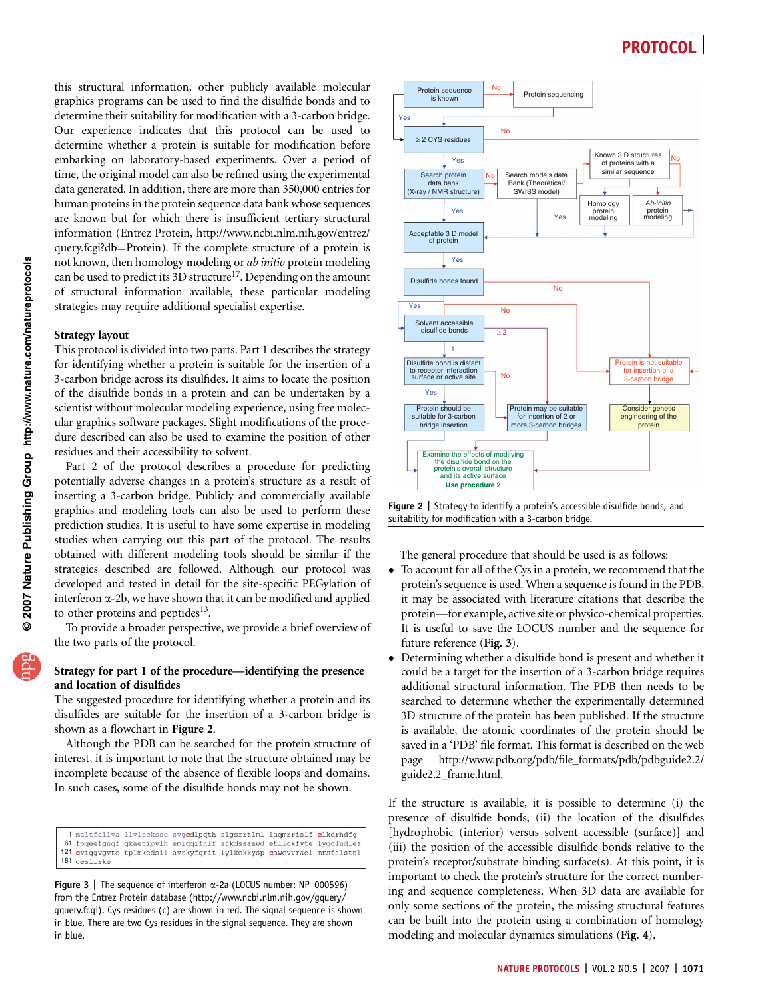this structural information, other publicly available molecular graphics programs can be used to find the disulfide bonds and to determine their suitability for modification with a 3-carbon bridge. Our experience indicates that this protocol can be used to determine whether a protein is suitable for modification before embarking on laboratory-based experiments. Over a period of time, the original model can also be refined using the experimental data generated. In addition, there are more than 350,000 entries for human proteins in the protein sequence data bank whose sequences are known but for which there is insufficient tertiary structural information (Entrez Protein, http://www.ncbi.nlm.nih.gov/entrez/ query.fcgi?db=Protein). If the complete structure of a protein is not known, then homology modeling or ab initio protein modeling can be used to predict its 3D structure<sup>17</sup>. Depending on the amount of structural information available, these particular modeling strategies may require additional specialist expertise.

#### Strategy layout

This protocol is divided into two parts. Part 1 describes the strategy for identifying whether a protein is suitable for the insertion of a 3-carbon bridge across its disulfides. It aims to locate the position of the disulfide bonds in a protein and can be undertaken by a scientist without molecular modeling experience, using free molecular graphics software packages. Slight modifications of the procedure described can also be used to examine the position of other residues and their accessibility to solvent.

Part 2 of the protocol describes a procedure for predicting potentially adverse changes in a protein's structure as a result of inserting a 3-carbon bridge. Publicly and commercially available graphics and modeling tools can also be used to perform these prediction studies. It is useful to have some expertise in modeling studies when carrying out this part of the protocol. The results obtained with different modeling tools should be similar if the strategies described are followed. Although our protocol was developed and tested in detail for the site-specific PEGylation of interferon  $\alpha$ -2b, we have shown that it can be modified and applied to other proteins and peptides<sup>13</sup>.

To provide a broader perspective, we provide a brief overview of the two parts of the protocol.

#### Strategy for part 1 of the procedure—identifying the presence and location of disulfides

The suggested procedure for identifying whether a protein and its disulfides are suitable for the insertion of a 3-carbon bridge is shown as a flowchart in Figure 2.

Although the PDB can be searched for the protein structure of interest, it is important to note that the structure obtained may be incomplete because of the absence of flexible loops and domains. In such cases, some of the disulfide bonds may not be shown.

**Figure 3** | The sequence of interferon  $\alpha$ -2a (LOCUS number: NP\_000596) from the Entrez Protein database (http://www.ncbi.nlm.nih.gov/gquery/ gquery.fcgi). Cys residues (c) are shown in red. The signal sequence is shown in blue. There are two Cys residues in the signal sequence. They are shown in blue.



Figure 2 | Strategy to identify a protein's accessible disulfide bonds, and suitability for modification with a 3-carbon bridge.

The general procedure that should be used is as follows:

- To account for all of the Cys in a protein, we recommend that the protein's sequence is used. When a sequence is found in the PDB, it may be associated with literature citations that describe the protein—for example, active site or physico-chemical properties. It is useful to save the LOCUS number and the sequence for future reference (Fig. 3).
- Determining whether a disulfide bond is present and whether it could be a target for the insertion of a 3-carbon bridge requires additional structural information. The PDB then needs to be searched to determine whether the experimentally determined 3D structure of the protein has been published. If the structure is available, the atomic coordinates of the protein should be saved in a 'PDB' file format. This format is described on the web page http://www.pdb.org/pdb/file\_formats/pdb/pdbguide2.2/ guide2.2\_frame.html.

If the structure is available, it is possible to determine (i) the presence of disulfide bonds, (ii) the location of the disulfides [hydrophobic (interior) versus solvent accessible (surface)] and (iii) the position of the accessible disulfide bonds relative to the protein's receptor/substrate binding surface(s). At this point, it is important to check the protein's structure for the correct numbering and sequence completeness. When 3D data are available for only some sections of the protein, the missing structural features can be built into the protein using a combination of homology modeling and molecular dynamics simulations (Fig. 4).

llvlsckssc svgcdlpgth slgsrrtlml lagmrrislf clkdrhdfg 1 maltfallya 61 fpgeefgngf gkaetipvlh emiggifnlf stkdssaawd etlldkfyte lygglndlea 121 cviqgvgvte tplmkedsil avrkyfqrit lylkekkysp cawevvraei mrsfslstnl 181 qeslrske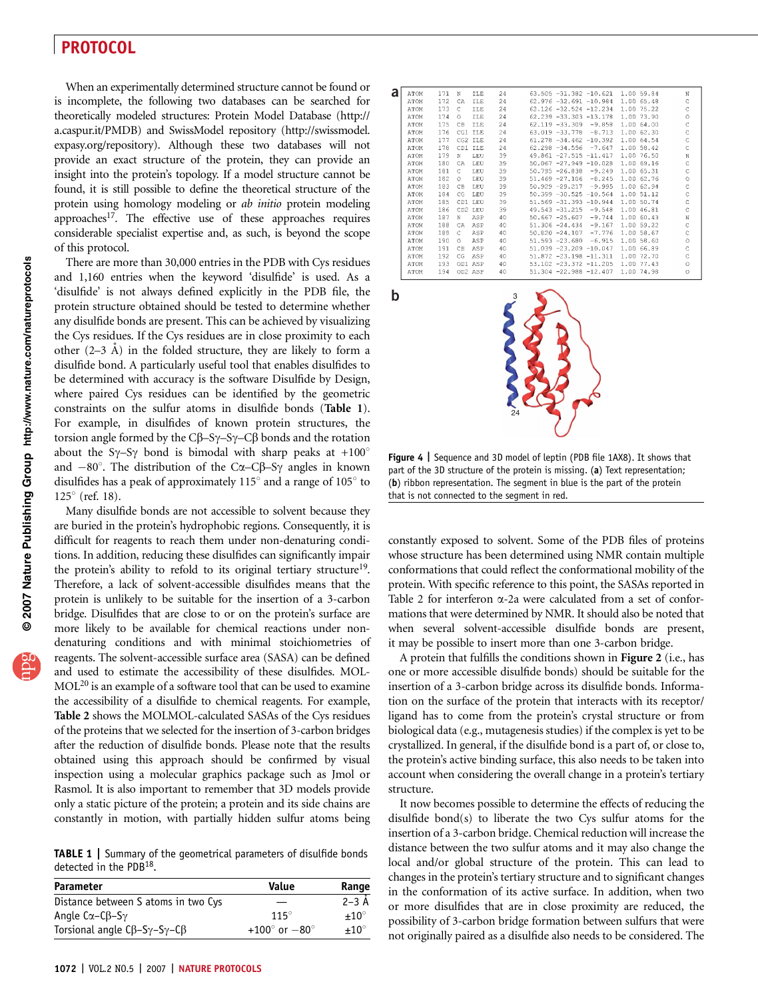When an experimentally determined structure cannot be found or is incomplete, the following two databases can be searched for theoretically modeled structures: Protein Model Database (http:// a.caspur.it/PMDB) and SwissModel repository (http://swissmodel. expasy.org/repository). Although these two databases will not provide an exact structure of the protein, they can provide an insight into the protein's topology. If a model structure cannot be found, it is still possible to define the theoretical structure of the protein using homology modeling or ab initio protein modeling approaches<sup>17</sup>. The effective use of these approaches requires considerable specialist expertise and, as such, is beyond the scope of this protocol.

There are more than 30,000 entries in the PDB with Cys residues and 1,160 entries when the keyword 'disulfide' is used. As a 'disulfide' is not always defined explicitly in the PDB file, the protein structure obtained should be tested to determine whether any disulfide bonds are present. This can be achieved by visualizing the Cys residues. If the Cys residues are in close proximity to each other  $(2-3 \text{ Å})$  in the folded structure, they are likely to form a disulfide bond. A particularly useful tool that enables disulfides to be determined with accuracy is the software Disulfide by Design, where paired Cys residues can be identified by the geometric constraints on the sulfur atoms in disulfide bonds (Table 1). For example, in disulfides of known protein structures, the torsion angle formed by the  $C\beta$ –S $\gamma$ – $S\gamma$ – $C\beta$  bonds and the rotation about the S $\gamma$ –S $\gamma$  bond is bimodal with sharp peaks at +100<sup>o</sup> and  $-80^\circ$ . The distribution of the C $\alpha$ -C $\beta$ -S $\gamma$  angles in known disulfides has a peak of approximately  $115^{\circ}$  and a range of  $105^{\circ}$  to  $125^{\circ}$  (ref. 18).

Many disulfide bonds are not accessible to solvent because they are buried in the protein's hydrophobic regions. Consequently, it is difficult for reagents to reach them under non-denaturing conditions. In addition, reducing these disulfides can significantly impair the protein's ability to refold to its original tertiary structure<sup>19</sup>. Therefore, a lack of solvent-accessible disulfides means that the protein is unlikely to be suitable for the insertion of a 3-carbon bridge. Disulfides that are close to or on the protein's surface are more likely to be available for chemical reactions under nondenaturing conditions and with minimal stoichiometries of reagents. The solvent-accessible surface area (SASA) can be defined and used to estimate the accessibility of these disulfides. MOL-MOL20 is an example of a software tool that can be used to examine the accessibility of a disulfide to chemical reagents. For example, Table 2 shows the MOLMOL-calculated SASAs of the Cys residues of the proteins that we selected for the insertion of 3-carbon bridges after the reduction of disulfide bonds. Please note that the results obtained using this approach should be confirmed by visual inspection using a molecular graphics package such as Jmol or Rasmol. It is also important to remember that 3D models provide only a static picture of the protein; a protein and its side chains are constantly in motion, with partially hidden sulfur atoms being

TABLE 1 | Summary of the geometrical parameters of disulfide bonds detected in the PDB18.

| <b>Parameter</b>                                | Value                           | Range       |
|-------------------------------------------------|---------------------------------|-------------|
| Distance between S atoms in two Cys             |                                 | $2 - 3A$    |
| Angle $Ca-C\beta-S\gamma$                       | $115^\circ$                     | $+10^\circ$ |
| Torsional angle $C\beta-S\gamma-S\gamma-C\beta$ | $+100^{\circ}$ or $-80^{\circ}$ | $+10^\circ$ |

| а | ATOM        | 171 | N        | TLE     | 24  |        | $63.505 - 31.382 - 10.621$    |           | 1.00 59.84 |       | N        |
|---|-------------|-----|----------|---------|-----|--------|-------------------------------|-----------|------------|-------|----------|
|   | ATOM        | 172 | ĊА       | TLE.    | 2.4 |        | $62.976 - 32.691$             | $-10.984$ | 1.00       | 65.48 | Ċ        |
|   | ATOM        | 173 | Ċ.       | TT.E    | 2.4 |        | $62.126 - 32.524$             | $-12.234$ | 1.00       | 75.22 | Ċ        |
|   | ATOM        | 174 | O.       | TT.R    | 24  |        | $62, 239 - 33, 303 - 13, 178$ |           | 1.00 73.90 |       | $\circ$  |
|   | ATOM        | 175 | CB       | TT.R    | 24  |        | 62.119 -33.309                | $-9.858$  | 1.00       | 64.00 | C        |
|   | ATOM        | 176 | CG1      | ILE     | 24  |        | 63.019 -33.778                | $-8.713$  | 1.00 62.30 |       | C        |
|   | ATOM        | 177 | CG2      | TLE     | 24  |        | $61,278$ -34.462              | $-10.392$ | 1.00       | 64.54 | с        |
|   | ATOM        | 178 | CD1      | ILE     | 24  |        | $62, 298 - 34, 556$           | $-7.647$  | 1.00 58.42 |       | Ċ        |
|   | ATOM        | 179 | N        | LEU     | 39  |        | 49.861 -27.515 -11.417        |           | 1.00       | 76.50 | N        |
|   | ATOM        | 180 | CA       | LEU     | 39  | 50.067 | $-27.949 - 10.028$            |           | 1.00       | 69.16 | C        |
|   | <b>ATOM</b> | 181 | c        | LEU     | 39  |        | $50.795 -26.838$              | $-9.249$  | 1.00       | 65.31 | C        |
|   | ATOM        | 182 | $\Omega$ | LEU     | 39  |        | 51.469 -27.106                | $-8.245$  | 1.00       | 62.76 | $\Omega$ |
|   | ATOM        | 183 | CB       | LEU     | 39  |        | $50.929 - 29.217$             | $-9.995$  | 1.00       | 62.94 | C        |
|   | ATOM        | 184 | CG       | LEU     | 39  |        | $50.399 - 30.525$             | $-10.564$ | 1.00       | 51.12 | Ċ        |
|   | ATOM        | 185 | CD1      | LEU     | 39  |        | 51.569 -31.393                | $-10.944$ | 1.00       | 50.74 | Ċ        |
|   | ATOM        | 186 | CD2      | LEU     | 39  |        | $49.543 - 31.215$             | $-9.548$  | 1.00       | 46.81 | Ċ        |
|   | ATOM        | 187 | N        | ASP     | 40  |        | $50.667 -25.607$              | $-9.744$  | 1.00       | 60.43 | N        |
|   | ATOM        | 188 | CA       | ASP     | 40  |        | $51.306 - 24.434$             | $-9.167$  | 1.00       | 59.22 | C        |
|   | ATOM        | 189 | C        | ASP     | 40  |        | $50.820 - 24.107$             | $-7.776$  | 1.00 58.67 |       | C        |
|   | ATOM        | 190 | Ω        | ASP     | 40  |        | 51.593 -23.680                | $-6.915$  | 1.00 58.60 |       | $\Omega$ |
|   | ATOM        | 191 | CВ       | ASP     | 40  |        | 51.039 -23.209                | $-10.047$ | 1.00 66.89 |       | Ċ        |
|   | ATOM        | 192 | СG       | ASP     | 40  |        | 51.872 -23.198 -11.311        |           | 1.00 72.70 |       | C        |
|   | ATOM        | 193 | OD1      | ASP     | 40  | 53.102 | $-23.372$                     | $-11.205$ | 1.00 77.43 |       | $\Omega$ |
|   | ATOM        | 194 |          | OD2 ASP | 40  |        | $51.304 -22.988 -12.407$      |           | 1.00 74.98 |       | $\circ$  |
|   |             |     |          |         |     |        |                               |           |            |       |          |

3 24

**b**

Figure 4 | Sequence and 3D model of leptin (PDB file 1AX8). It shows that part of the 3D structure of the protein is missing. (a) Text representation; (b) ribbon representation. The segment in blue is the part of the protein that is not connected to the segment in red.

constantly exposed to solvent. Some of the PDB files of proteins whose structure has been determined using NMR contain multiple conformations that could reflect the conformational mobility of the protein. With specific reference to this point, the SASAs reported in Table 2 for interferon  $\alpha$ -2a were calculated from a set of conformations that were determined by NMR. It should also be noted that when several solvent-accessible disulfide bonds are present, it may be possible to insert more than one 3-carbon bridge.

A protein that fulfills the conditions shown in Figure 2 (i.e., has one or more accessible disulfide bonds) should be suitable for the insertion of a 3-carbon bridge across its disulfide bonds. Information on the surface of the protein that interacts with its receptor/ ligand has to come from the protein's crystal structure or from biological data (e.g., mutagenesis studies) if the complex is yet to be crystallized. In general, if the disulfide bond is a part of, or close to, the protein's active binding surface, this also needs to be taken into account when considering the overall change in a protein's tertiary structure.

It now becomes possible to determine the effects of reducing the disulfide bond(s) to liberate the two Cys sulfur atoms for the insertion of a 3-carbon bridge. Chemical reduction will increase the distance between the two sulfur atoms and it may also change the local and/or global structure of the protein. This can lead to changes in the protein's tertiary structure and to significant changes in the conformation of its active surface. In addition, when two or more disulfides that are in close proximity are reduced, the possibility of 3-carbon bridge formation between sulfurs that were not originally paired as a disulfide also needs to be considered. The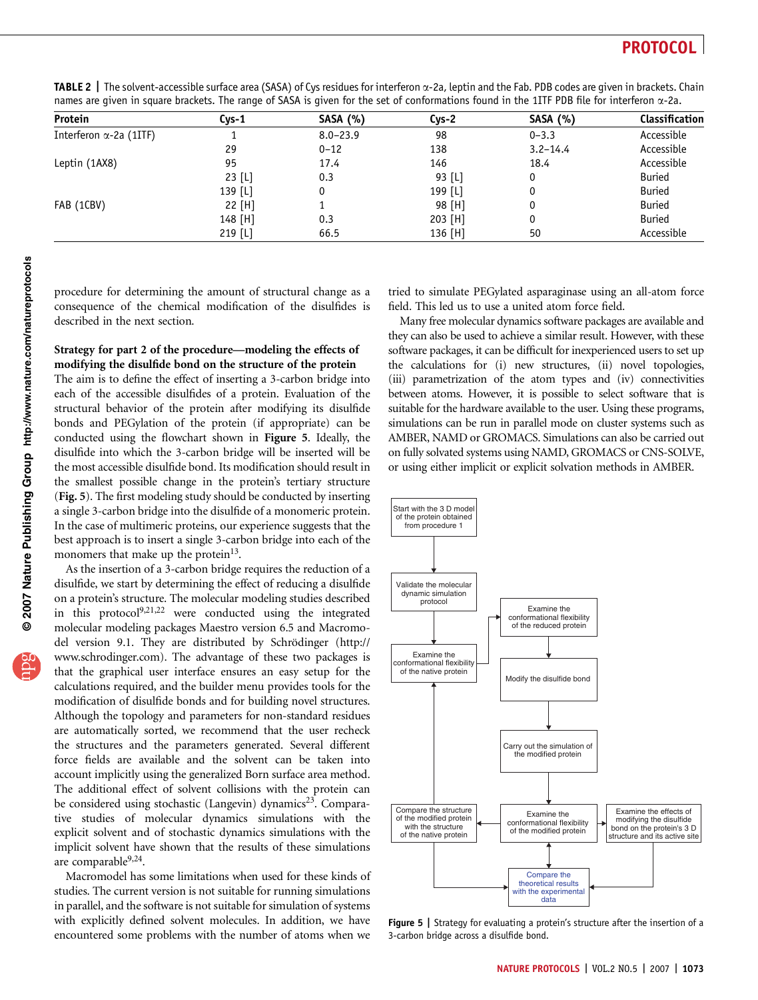| Protein                | $Cvs-1$ | SASA (%)     | $Cvs-2$ | SASA (%)     | <b>Classification</b> |
|------------------------|---------|--------------|---------|--------------|-----------------------|
| Interferon α-2a (1ITF) |         | $8.0 - 23.9$ | 98      | $0 - 3.3$    | Accessible            |
|                        | 29      | $0 - 12$     | 138     | $3.2 - 14.4$ | Accessible            |
| Leptin (1AX8)          | 95      | 17.4         | 146     | 18.4         | Accessible            |
|                        | 23 [L]  | 0.3          | 93 [L]  | 0            | <b>Buried</b>         |
|                        | 139 [L] | 0            | 199 [L] | 0            | <b>Buried</b>         |
| FAB (1CBV)             | 22 [H]  |              | 98 [H]  | 0            | <b>Buried</b>         |
|                        | 148 [H] | 0.3          | 203 [H] | 0            | <b>Buried</b>         |
|                        | 219 [L] | 66.5         | 136 [H] | 50           | Accessible            |

TABLE 2 | The solvent-accessible surface area (SASA) of Cys residues for interferon <sup>a</sup>-2a, leptin and the Fab. PDB codes are given in brackets. Chain names are given in square brackets. The range of SASA is given for the set of conformations found in the 1ITF PDB file for interferon α-2a.

procedure for determining the amount of structural change as a consequence of the chemical modification of the disulfides is described in the next section.

#### Strategy for part 2 of the procedure—modeling the effects of modifying the disulfide bond on the structure of the protein

The aim is to define the effect of inserting a 3-carbon bridge into each of the accessible disulfides of a protein. Evaluation of the structural behavior of the protein after modifying its disulfide bonds and PEGylation of the protein (if appropriate) can be conducted using the flowchart shown in Figure 5. Ideally, the disulfide into which the 3-carbon bridge will be inserted will be the most accessible disulfide bond. Its modification should result in the smallest possible change in the protein's tertiary structure (Fig. 5). The first modeling study should be conducted by inserting a single 3-carbon bridge into the disulfide of a monomeric protein. In the case of multimeric proteins, our experience suggests that the best approach is to insert a single 3-carbon bridge into each of the monomers that make up the protein $13$ .

As the insertion of a 3-carbon bridge requires the reduction of a disulfide, we start by determining the effect of reducing a disulfide on a protein's structure. The molecular modeling studies described in this protocol $9,21,22$  were conducted using the integrated molecular modeling packages Maestro version 6.5 and Macromodel version 9.1. They are distributed by Schrödinger (http:// www.schrodinger.com). The advantage of these two packages is that the graphical user interface ensures an easy setup for the calculations required, and the builder menu provides tools for the modification of disulfide bonds and for building novel structures. Although the topology and parameters for non-standard residues are automatically sorted, we recommend that the user recheck the structures and the parameters generated. Several different force fields are available and the solvent can be taken into account implicitly using the generalized Born surface area method. The additional effect of solvent collisions with the protein can be considered using stochastic (Langevin) dynamics<sup>23</sup>. Comparative studies of molecular dynamics simulations with the explicit solvent and of stochastic dynamics simulations with the implicit solvent have shown that the results of these simulations are comparable $9,24$ .

Macromodel has some limitations when used for these kinds of studies. The current version is not suitable for running simulations in parallel, and the software is not suitable for simulation of systems with explicitly defined solvent molecules. In addition, we have encountered some problems with the number of atoms when we tried to simulate PEGylated asparaginase using an all-atom force field. This led us to use a united atom force field.

Many free molecular dynamics software packages are available and they can also be used to achieve a similar result. However, with these software packages, it can be difficult for inexperienced users to set up the calculations for (i) new structures, (ii) novel topologies, (iii) parametrization of the atom types and (iv) connectivities between atoms. However, it is possible to select software that is suitable for the hardware available to the user. Using these programs, simulations can be run in parallel mode on cluster systems such as AMBER, NAMD or GROMACS. Simulations can also be carried out on fully solvated systems using NAMD, GROMACS or CNS-SOLVE, or using either implicit or explicit solvation methods in AMBER.

Start with the 3 D model of the protein obtained from procedure 1 Validate the molecula dynamic simulation protocol Examine the confidence in the controller of the native protein Examine the conformational flexibility of the reduced protein Modify the disulfide bond Carry out the simulation of the modified protein Examine the conformational flexibility of the modified protein Examine the effects of modifying the disulfide bond on the protein's 3 D structure and its active site Compare the structure of the modified protein with the structure of the native protein Compare the theoretical results with the experimental data

Figure 5 | Strategy for evaluating a protein's structure after the insertion of a 3-carbon bridge across a disulfide bond.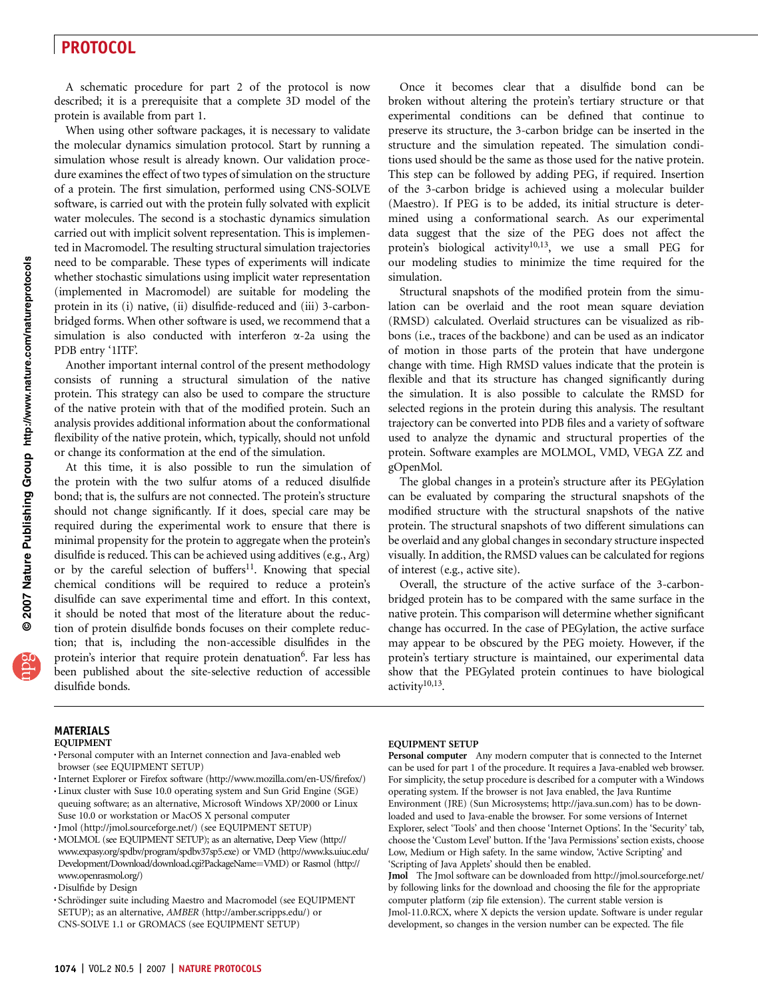A schematic procedure for part 2 of the protocol is now described; it is a prerequisite that a complete 3D model of the protein is available from part 1.

When using other software packages, it is necessary to validate the molecular dynamics simulation protocol. Start by running a simulation whose result is already known. Our validation procedure examines the effect of two types of simulation on the structure of a protein. The first simulation, performed using CNS-SOLVE software, is carried out with the protein fully solvated with explicit water molecules. The second is a stochastic dynamics simulation carried out with implicit solvent representation. This is implemented in Macromodel. The resulting structural simulation trajectories need to be comparable. These types of experiments will indicate whether stochastic simulations using implicit water representation (implemented in Macromodel) are suitable for modeling the protein in its (i) native, (ii) disulfide-reduced and (iii) 3-carbonbridged forms. When other software is used, we recommend that a simulation is also conducted with interferon  $\alpha$ -2a using the PDB entry '1ITF'.

Another important internal control of the present methodology consists of running a structural simulation of the native protein. This strategy can also be used to compare the structure of the native protein with that of the modified protein. Such an analysis provides additional information about the conformational flexibility of the native protein, which, typically, should not unfold or change its conformation at the end of the simulation.

At this time, it is also possible to run the simulation of the protein with the two sulfur atoms of a reduced disulfide bond; that is, the sulfurs are not connected. The protein's structure should not change significantly. If it does, special care may be required during the experimental work to ensure that there is minimal propensity for the protein to aggregate when the protein's disulfide is reduced. This can be achieved using additives (e.g., Arg) or by the careful selection of buffers<sup>11</sup>. Knowing that special chemical conditions will be required to reduce a protein's disulfide can save experimental time and effort. In this context, it should be noted that most of the literature about the reduction of protein disulfide bonds focuses on their complete reduction; that is, including the non-accessible disulfides in the protein's interior that require protein denatuation<sup>6</sup>. Far less has been published about the site-selective reduction of accessible disulfide bonds.

Once it becomes clear that a disulfide bond can be broken without altering the protein's tertiary structure or that experimental conditions can be defined that continue to preserve its structure, the 3-carbon bridge can be inserted in the structure and the simulation repeated. The simulation conditions used should be the same as those used for the native protein. This step can be followed by adding PEG, if required. Insertion of the 3-carbon bridge is achieved using a molecular builder (Maestro). If PEG is to be added, its initial structure is determined using a conformational search. As our experimental data suggest that the size of the PEG does not affect the protein's biological activity<sup>10,13</sup>, we use a small PEG for our modeling studies to minimize the time required for the simulation.

Structural snapshots of the modified protein from the simulation can be overlaid and the root mean square deviation (RMSD) calculated. Overlaid structures can be visualized as ribbons (i.e., traces of the backbone) and can be used as an indicator of motion in those parts of the protein that have undergone change with time. High RMSD values indicate that the protein is flexible and that its structure has changed significantly during the simulation. It is also possible to calculate the RMSD for selected regions in the protein during this analysis. The resultant trajectory can be converted into PDB files and a variety of software used to analyze the dynamic and structural properties of the protein. Software examples are MOLMOL, VMD, VEGA ZZ and gOpenMol.

The global changes in a protein's structure after its PEGylation can be evaluated by comparing the structural snapshots of the modified structure with the structural snapshots of the native protein. The structural snapshots of two different simulations can be overlaid and any global changes in secondary structure inspected visually. In addition, the RMSD values can be calculated for regions of interest (e.g., active site).

Overall, the structure of the active surface of the 3-carbonbridged protein has to be compared with the same surface in the native protein. This comparison will determine whether significant change has occurred. In the case of PEGylation, the active surface may appear to be obscured by the PEG moiety. However, if the protein's tertiary structure is maintained, our experimental data show that the PEGylated protein continues to have biological activity $10,13$ .

**puor G gni hsil buP er ut a N 7002**

**@** 2007 Nature Publishing Group http://www.nature.com/natureprotocols **w w//: ptt h**

#### MATERIALS EQUIPMENT

- .Personal computer with an Internet connection and Java-enabled web browser (see EQUIPMENT SETUP)
- .Internet Explorer or Firefox software (http://www.mozilla.com/en-US/firefox/) .Linux cluster with Suse 10.0 operating system and Sun Grid Engine (SGE) queuing software; as an alternative, Microsoft Windows XP/2000 or Linux Suse 10.0 or workstation or MacOS X personal computer
- .Jmol (http://jmol.sourceforge.net/) (see EQUIPMENT SETUP)
- .MOLMOL (see EQUIPMENT SETUP); as an alternative, Deep View (http:// www.expasy.org/spdbv/program/spdbv37sp5.exe) or VMD (http://www.ks.uiuc.edu/ Development/Download/download.cgi?PackageName=VMD) or Rasmol (http:// www.openrasmol.org/)
- .Disulfide by Design
- Schrödinger suite including Maestro and Macromodel (see EQUIPMENT SETUP); as an alternative, AMBER (http://amber.scripps.edu/) or CNS-SOLVE 1.1 or GROMACS (see EQUIPMENT SETUP)

#### EQUIPMENT SETUP

Personal computer Any modern computer that is connected to the Internet can be used for part 1 of the procedure. It requires a Java-enabled web browser. For simplicity, the setup procedure is described for a computer with a Windows operating system. If the browser is not Java enabled, the Java Runtime Environment (JRE) (Sun Microsystems; http://java.sun.com) has to be downloaded and used to Java-enable the browser. For some versions of Internet Explorer, select 'Tools' and then choose 'Internet Options'. In the 'Security' tab, choose the 'Custom Level' button. If the 'Java Permissions' section exists, choose Low, Medium or High safety. In the same window, 'Active Scripting' and 'Scripting of Java Applets' should then be enabled.

Jmol The Jmol software can be downloaded from http://jmol.sourceforge.net/ by following links for the download and choosing the file for the appropriate computer platform (zip file extension). The current stable version is Jmol-11.0.RCX, where X depicts the version update. Software is under regular development, so changes in the version number can be expected. The file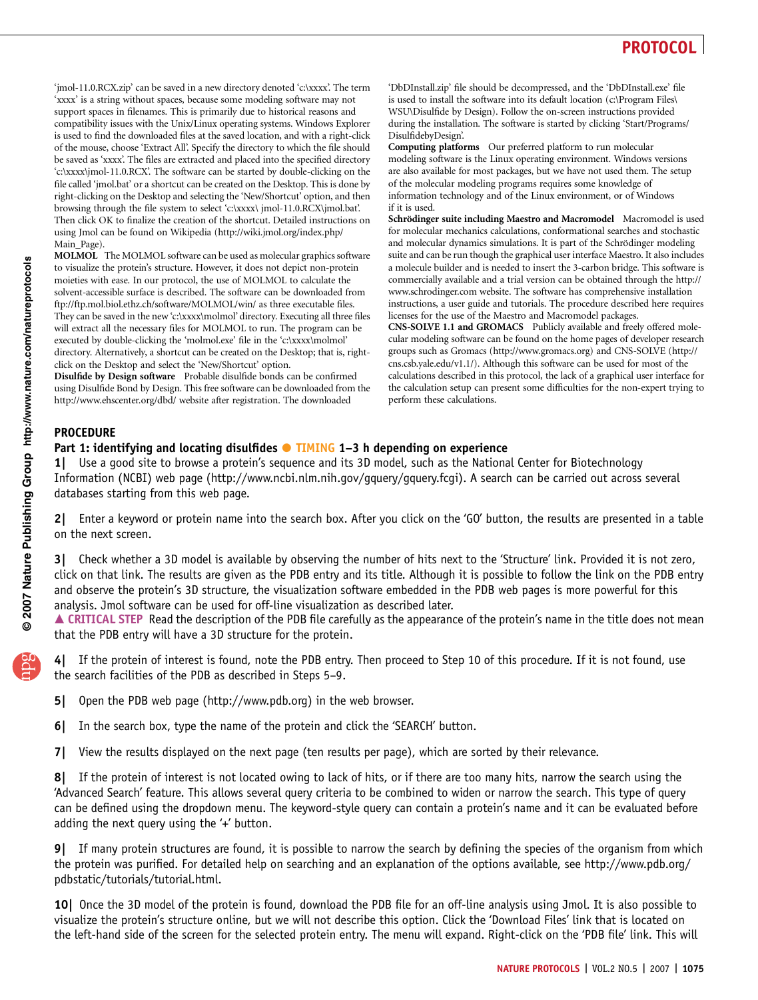'jmol-11.0.RCX.zip' can be saved in a new directory denoted 'c:\xxxx'. The term 'xxxx' is a string without spaces, because some modeling software may not support spaces in filenames. This is primarily due to historical reasons and compatibility issues with the Unix/Linux operating systems. Windows Explorer is used to find the downloaded files at the saved location, and with a right-click of the mouse, choose 'Extract All'. Specify the directory to which the file should be saved as 'xxxx'. The files are extracted and placed into the specified directory 'c:\xxxx\jmol-11.0.RCX'. The software can be started by double-clicking on the file called 'jmol.bat' or a shortcut can be created on the Desktop. This is done by right-clicking on the Desktop and selecting the 'New/Shortcut' option, and then browsing through the file system to select 'c:\xxxx\ jmol-11.0.RCX\jmol.bat'. Then click OK to finalize the creation of the shortcut. Detailed instructions on using Jmol can be found on Wikipedia (http://wiki.jmol.org/index.php/ Main Page).

MOLMOL The MOLMOL software can be used as molecular graphics software to visualize the protein's structure. However, it does not depict non-protein moieties with ease. In our protocol, the use of MOLMOL to calculate the solvent-accessible surface is described. The software can be downloaded from ftp://ftp.mol.biol.ethz.ch/software/MOLMOL/win/ as three executable files. They can be saved in the new 'c:\xxxx\molmol' directory. Executing all three files will extract all the necessary files for MOLMOL to run. The program can be executed by double-clicking the 'molmol.exe' file in the 'c:\xxxx\molmol' directory. Alternatively, a shortcut can be created on the Desktop; that is, rightclick on the Desktop and select the 'New/Shortcut' option.

Disulfide by Design software Probable disulfide bonds can be confirmed using Disulfide Bond by Design. This free software can be downloaded from the http://www.ehscenter.org/dbd/ website after registration. The downloaded

'DbDInstall.zip' file should be decompressed, and the 'DbDInstall.exe' file is used to install the software into its default location (c:\Program Files\ WSU\Disulfide by Design). Follow the on-screen instructions provided during the installation. The software is started by clicking 'Start/Programs/ DisulfidebyDesign'.

Computing platforms Our preferred platform to run molecular modeling software is the Linux operating environment. Windows versions are also available for most packages, but we have not used them. The setup of the molecular modeling programs requires some knowledge of information technology and of the Linux environment, or of Windows if it is used.

Schrödinger suite including Maestro and Macromodel Macromodel is used for molecular mechanics calculations, conformational searches and stochastic and molecular dynamics simulations. It is part of the Schrödinger modeling suite and can be run though the graphical user interface Maestro. It also includes a molecule builder and is needed to insert the 3-carbon bridge. This software is commercially available and a trial version can be obtained through the http:// www.schrodinger.com website. The software has comprehensive installation instructions, a user guide and tutorials. The procedure described here requires licenses for the use of the Maestro and Macromodel packages.

CNS-SOLVE 1.1 and GROMACS Publicly available and freely offered molecular modeling software can be found on the home pages of developer research groups such as Gromacs (http://www.gromacs.org) and CNS-SOLVE (http:// cns.csb.yale.edu/v1.1/). Although this software can be used for most of the calculations described in this protocol, the lack of a graphical user interface for the calculation setup can present some difficulties for the non-expert trying to perform these calculations.

### **PROCEDURE**

### Part 1: identifying and locating disulfides  $\bullet$  TIMING 1-3 h depending on experience

1| Use a good site to browse a protein's sequence and its 3D model, such as the National Center for Biotechnology Information (NCBI) web page (http://www.ncbi.nlm.nih.gov/gquery/gquery.fcgi). A search can be carried out across several databases starting from this web page.

2| Enter a keyword or protein name into the search box. After you click on the 'GO' button, the results are presented in a table on the next screen.

3| Check whether a 3D model is available by observing the number of hits next to the 'Structure' link. Provided it is not zero, click on that link. The results are given as the PDB entry and its title. Although it is possible to follow the link on the PDB entry and observe the protein's 3D structure, the visualization software embedded in the PDB web pages is more powerful for this analysis. Jmol software can be used for off-line visualization as described later.

▲ CRITICAL STEP Read the description of the PDB file carefully as the appearance of the protein's name in the title does not mean that the PDB entry will have a 3D structure for the protein.

4| If the protein of interest is found, note the PDB entry. Then proceed to Step 10 of this procedure. If it is not found, use the search facilities of the PDB as described in Steps 5–9.

- 5| Open the PDB web page (http://www.pdb.org) in the web browser.
- 6| In the search box, type the name of the protein and click the 'SEARCH' button.
- 7| View the results displayed on the next page (ten results per page), which are sorted by their relevance.

8| If the protein of interest is not located owing to lack of hits, or if there are too many hits, narrow the search using the 'Advanced Search' feature. This allows several query criteria to be combined to widen or narrow the search. This type of query can be defined using the dropdown menu. The keyword-style query can contain a protein's name and it can be evaluated before adding the next query using the '+' button.

9| If many protein structures are found, it is possible to narrow the search by defining the species of the organism from which the protein was purified. For detailed help on searching and an explanation of the options available, see http://www.pdb.org/ pdbstatic/tutorials/tutorial.html.

10| Once the 3D model of the protein is found, download the PDB file for an off-line analysis using Jmol. It is also possible to visualize the protein's structure online, but we will not describe this option. Click the 'Download Files' link that is located on the left-hand side of the screen for the selected protein entry. The menu will expand. Right-click on the 'PDB file' link. This will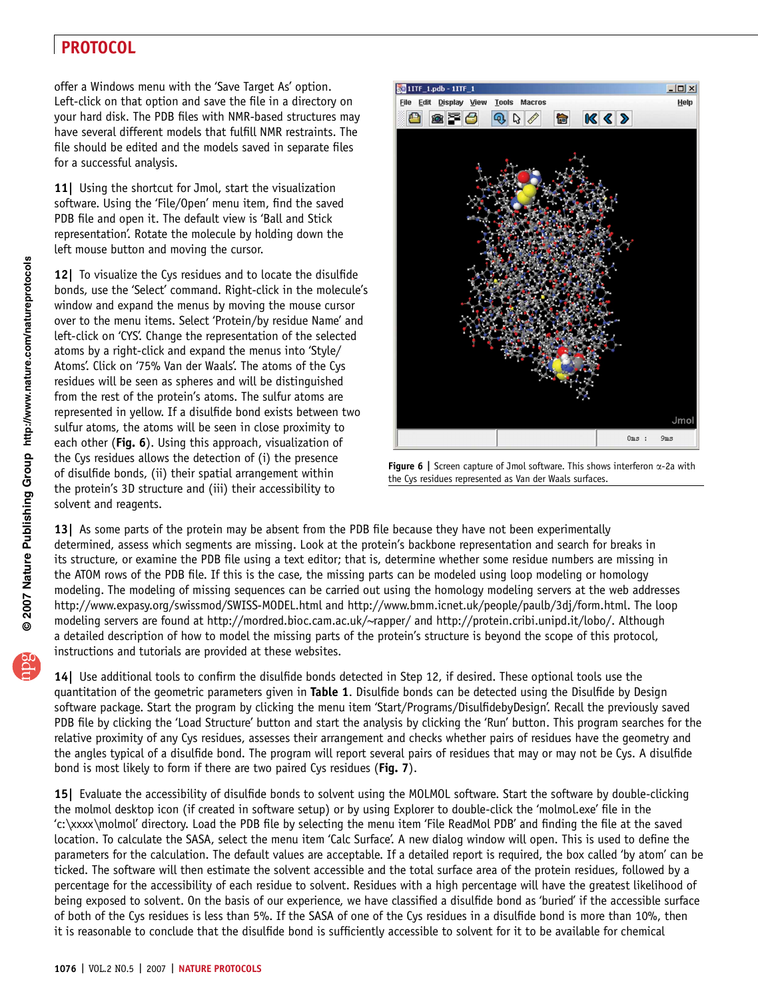offer a Windows menu with the 'Save Target As' option. Left-click on that option and save the file in a directory on your hard disk. The PDB files with NMR-based structures may have several different models that fulfill NMR restraints. The file should be edited and the models saved in separate files for a successful analysis.

11| Using the shortcut for Jmol, start the visualization software. Using the 'File/Open' menu item, find the saved PDB file and open it. The default view is 'Ball and Stick representation'. Rotate the molecule by holding down the left mouse button and moving the cursor.

12| To visualize the Cys residues and to locate the disulfide bonds, use the 'Select' command. Right-click in the molecule's window and expand the menus by moving the mouse cursor over to the menu items. Select 'Protein/by residue Name' and left-click on 'CYS'. Change the representation of the selected atoms by a right-click and expand the menus into 'Style/ Atoms'. Click on '75% Van der Waals'. The atoms of the Cys residues will be seen as spheres and will be distinguished from the rest of the protein's atoms. The sulfur atoms are represented in yellow. If a disulfide bond exists between two sulfur atoms, the atoms will be seen in close proximity to each other (Fig. 6). Using this approach, visualization of the Cys residues allows the detection of (i) the presence of disulfide bonds, (ii) their spatial arrangement within the protein's 3D structure and (iii) their accessibility to solvent and reagents.



Figure 6 | Screen capture of Jmol software. This shows interferon  $\alpha$ -2a with the Cys residues represented as Van der Waals surfaces.

13| As some parts of the protein may be absent from the PDB file because they have not been experimentally determined, assess which segments are missing. Look at the protein's backbone representation and search for breaks in its structure, or examine the PDB file using a text editor; that is, determine whether some residue numbers are missing in the ATOM rows of the PDB file. If this is the case, the missing parts can be modeled using loop modeling or homology modeling. The modeling of missing sequences can be carried out using the homology modeling servers at the web addresses http://www.expasy.org/swissmod/SWISS-MODEL.html and http://www.bmm.icnet.uk/people/paulb/3dj/form.html. The loop modeling servers are found at http://mordred.bioc.cam.ac.uk/~rapper/ and http://protein.cribi.unipd.it/lobo/. Although a detailed description of how to model the missing parts of the protein's structure is beyond the scope of this protocol, instructions and tutorials are provided at these websites.

14| Use additional tools to confirm the disulfide bonds detected in Step 12, if desired. These optional tools use the quantitation of the geometric parameters given in Table 1. Disulfide bonds can be detected using the Disulfide by Design software package. Start the program by clicking the menu item 'Start/Programs/DisulfidebyDesign'. Recall the previously saved PDB file by clicking the 'Load Structure' button and start the analysis by clicking the 'Run' button. This program searches for the relative proximity of any Cys residues, assesses their arrangement and checks whether pairs of residues have the geometry and the angles typical of a disulfide bond. The program will report several pairs of residues that may or may not be Cys. A disulfide bond is most likely to form if there are two paired Cys residues (Fig. 7).

15| Evaluate the accessibility of disulfide bonds to solvent using the MOLMOL software. Start the software by double-clicking the molmol desktop icon (if created in software setup) or by using Explorer to double-click the 'molmol.exe' file in the 'c:\xxxx\molmol' directory. Load the PDB file by selecting the menu item 'File ReadMol PDB' and finding the file at the saved location. To calculate the SASA, select the menu item 'Calc Surface'. A new dialog window will open. This is used to define the parameters for the calculation. The default values are acceptable. If a detailed report is required, the box called 'by atom' can be ticked. The software will then estimate the solvent accessible and the total surface area of the protein residues, followed by a percentage for the accessibility of each residue to solvent. Residues with a high percentage will have the greatest likelihood of being exposed to solvent. On the basis of our experience, we have classified a disulfide bond as 'buried' if the accessible surface of both of the Cys residues is less than 5%. If the SASA of one of the Cys residues in a disulfide bond is more than 10%, then it is reasonable to conclude that the disulfide bond is sufficiently accessible to solvent for it to be available for chemical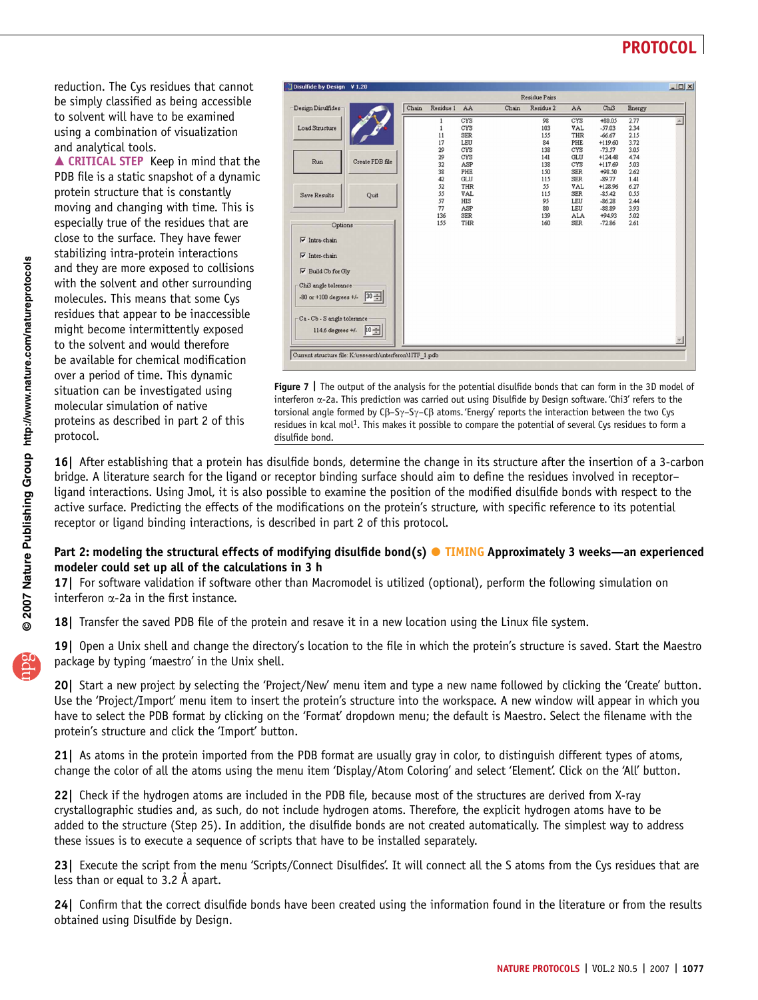reduction. The Cys residues that cannot be simply classified as being accessible to solvent will have to be examined using a combination of visualization and analytical tools.

**A CRITICAL STEP** Keep in mind that the PDB file is a static snapshot of a dynamic protein structure that is constantly moving and changing with time. This is especially true of the residues that are close to the surface. They have fewer stabilizing intra-protein interactions and they are more exposed to collisions with the solvent and other surrounding molecules. This means that some Cys residues that appear to be inaccessible might become intermittently exposed to the solvent and would therefore be available for chemical modification over a period of time. This dynamic situation can be investigated using molecular simulation of native proteins as described in part 2 of this protocol.

| Disulfide by Design V 1.20   |                                                           |       |           |     |       |               |     |           |        | $-10X$ |
|------------------------------|-----------------------------------------------------------|-------|-----------|-----|-------|---------------|-----|-----------|--------|--------|
|                              |                                                           |       |           |     |       | Residue Pairs |     |           |        |        |
| Design Disulfides            |                                                           | Chain | Residue 1 | AA  | Chain | Residue 2     | AA  | Chi3      | Energy |        |
|                              |                                                           |       |           | CYS |       | 98            | CYS | $+80.05$  | 2.77   |        |
| Load Structure               |                                                           |       |           | CYS |       | 103           | VAL | $-57.03$  | 2.34   |        |
|                              |                                                           |       | 11        | SER |       | 155           | THR | $-66.67$  | 2.15   |        |
|                              |                                                           |       | 17        | LEU |       | 84            | PHE | $+119.60$ | 3.72   |        |
|                              |                                                           |       | 29        | CYS |       | 138           | CYS | $-73.57$  | 3.05   |        |
| Run                          | Create PDB file                                           |       | 29        | CYS |       | 141           | GLU | $+124.48$ | 4.74   |        |
|                              |                                                           |       | 32        | ASP |       | 138           | CYS | $+117.69$ | 5.03   |        |
|                              |                                                           |       | 38        | PHE |       | 150           | SER | +98.50    | 2.62   |        |
|                              |                                                           |       | 42        | GLU |       | 115           | SER | $-89.77$  | 1.41   |        |
|                              |                                                           |       | 52        | THR |       | 55            | VAL | $+128.96$ | 6.27   |        |
| Save Results                 | Quit                                                      |       | 55        | VAL |       | 115           | SER | $-85.42$  | 0.55   |        |
|                              |                                                           |       | 57        | HIS |       | 95            | LEU | $-86.28$  | 2.44   |        |
|                              |                                                           |       | 77        | ASP |       | 80            | LEU | $-88.89$  | 3.93   |        |
|                              |                                                           |       | 136       | SER |       | 139           | ALA | $+94.93$  | 5.02   |        |
| Options                      |                                                           |       | 155       | THR |       | 160           | SER | $-72.86$  | 2.61   |        |
| $\nabla$ Intra-chain         |                                                           |       |           |     |       |               |     |           |        |        |
|                              |                                                           |       |           |     |       |               |     |           |        |        |
| $\nabla$ Inter-chain         |                                                           |       |           |     |       |               |     |           |        |        |
| $\nabla$ Build Cb for Gly    |                                                           |       |           |     |       |               |     |           |        |        |
| Chi3 angle tolerance         |                                                           |       |           |     |       |               |     |           |        |        |
|                              |                                                           |       |           |     |       |               |     |           |        |        |
| $-80$ or $+100$ degrees $+/$ | $30 \div$                                                 |       |           |     |       |               |     |           |        |        |
| Ca - Cb - S angle tolerance  |                                                           |       |           |     |       |               |     |           |        |        |
|                              | 114.6 degrees +/- $\boxed{10 - 1}$                        |       |           |     |       |               |     |           |        |        |
|                              |                                                           |       |           |     |       |               |     |           |        |        |
|                              |                                                           |       |           |     |       |               |     |           |        |        |
|                              | Current structure file: K:\research\interferon\IITF 1.pdb |       |           |     |       |               |     |           |        |        |
|                              |                                                           |       |           |     |       |               |     |           |        |        |
|                              |                                                           |       |           |     |       |               |     |           |        |        |



16| After establishing that a protein has disulfide bonds, determine the change in its structure after the insertion of a 3-carbon bridge. A literature search for the ligand or receptor binding surface should aim to define the residues involved in receptor– ligand interactions. Using Jmol, it is also possible to examine the position of the modified disulfide bonds with respect to the active surface. Predicting the effects of the modifications on the protein's structure, with specific reference to its potential receptor or ligand binding interactions, is described in part 2 of this protocol.

### Part 2: modeling the structural effects of modifying disulfide bond(s)  $\bullet$  TIMING Approximately 3 weeks—an experienced modeler could set up all of the calculations in 3 h

17| For software validation if software other than Macromodel is utilized (optional), perform the following simulation on interferon  $\alpha$ -2a in the first instance.

18| Transfer the saved PDB file of the protein and resave it in a new location using the Linux file system.

19| Open a Unix shell and change the directory's location to the file in which the protein's structure is saved. Start the Maestro package by typing 'maestro' in the Unix shell.

20| Start a new project by selecting the 'Project/New' menu item and type a new name followed by clicking the 'Create' button. Use the 'Project/Import' menu item to insert the protein's structure into the workspace. A new window will appear in which you have to select the PDB format by clicking on the 'Format' dropdown menu; the default is Maestro. Select the filename with the protein's structure and click the 'Import' button.

21| As atoms in the protein imported from the PDB format are usually gray in color, to distinguish different types of atoms, change the color of all the atoms using the menu item 'Display/Atom Coloring' and select 'Element'. Click on the 'All' button.

22| Check if the hydrogen atoms are included in the PDB file, because most of the structures are derived from X-ray crystallographic studies and, as such, do not include hydrogen atoms. Therefore, the explicit hydrogen atoms have to be added to the structure (Step 25). In addition, the disulfide bonds are not created automatically. The simplest way to address these issues is to execute a sequence of scripts that have to be installed separately.

23| Execute the script from the menu 'Scripts/Connect Disulfides'. It will connect all the S atoms from the Cys residues that are less than or equal to 3.2 Å apart.

24| Confirm that the correct disulfide bonds have been created using the information found in the literature or from the results obtained using Disulfide by Design.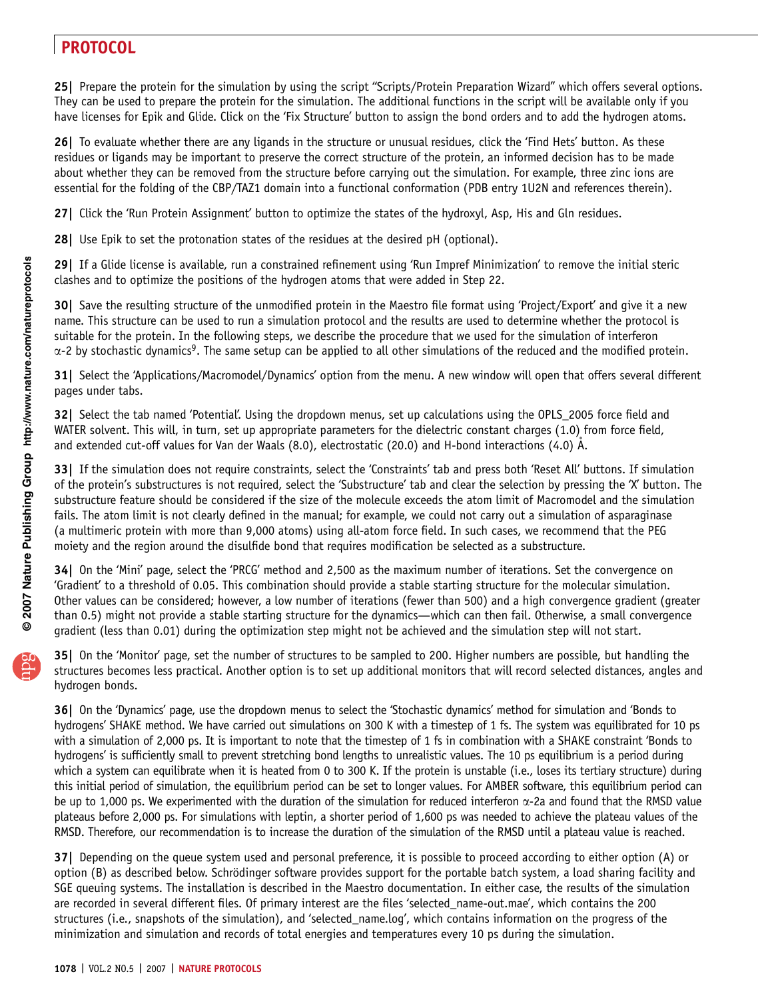25| Prepare the protein for the simulation by using the script "Scripts/Protein Preparation Wizard" which offers several options. They can be used to prepare the protein for the simulation. The additional functions in the script will be available only if you have licenses for Epik and Glide. Click on the 'Fix Structure' button to assign the bond orders and to add the hydrogen atoms.

26| To evaluate whether there are any ligands in the structure or unusual residues, click the 'Find Hets' button. As these residues or ligands may be important to preserve the correct structure of the protein, an informed decision has to be made about whether they can be removed from the structure before carrying out the simulation. For example, three zinc ions are essential for the folding of the CBP/TAZ1 domain into a functional conformation (PDB entry 1U2N and references therein).

27| Click the 'Run Protein Assignment' button to optimize the states of the hydroxyl, Asp, His and Gln residues.

28| Use Epik to set the protonation states of the residues at the desired pH (optional).

29| If a Glide license is available, run a constrained refinement using 'Run Impref Minimization' to remove the initial steric clashes and to optimize the positions of the hydrogen atoms that were added in Step 22.

30| Save the resulting structure of the unmodified protein in the Maestro file format using 'Project/Export' and give it a new name. This structure can be used to run a simulation protocol and the results are used to determine whether the protocol is suitable for the protein. In the following steps, we describe the procedure that we used for the simulation of interferon  $\alpha$ -2 by stochastic dynamics<sup>9</sup>. The same setup can be applied to all other simulations of the reduced and the modified protein.

31| Select the 'Applications/Macromodel/Dynamics' option from the menu. A new window will open that offers several different pages under tabs.

32| Select the tab named 'Potential'. Using the dropdown menus, set up calculations using the OPLS\_2005 force field and WATER solvent. This will, in turn, set up appropriate parameters for the dielectric constant charges (1.0) from force field, and extended cut-off values for Van der Waals (8.0), electrostatic (20.0) and H-bond interactions (4.0) A˚.

33| If the simulation does not require constraints, select the 'Constraints' tab and press both 'Reset All' buttons. If simulation of the protein's substructures is not required, select the 'Substructure' tab and clear the selection by pressing the 'X' button. The substructure feature should be considered if the size of the molecule exceeds the atom limit of Macromodel and the simulation fails. The atom limit is not clearly defined in the manual; for example, we could not carry out a simulation of asparaginase (a multimeric protein with more than 9,000 atoms) using all-atom force field. In such cases, we recommend that the PEG moiety and the region around the disulfide bond that requires modification be selected as a substructure.

34| On the 'Mini' page, select the 'PRCG' method and 2,500 as the maximum number of iterations. Set the convergence on 'Gradient' to a threshold of 0.05. This combination should provide a stable starting structure for the molecular simulation. Other values can be considered; however, a low number of iterations (fewer than 500) and a high convergence gradient (greater than 0.5) might not provide a stable starting structure for the dynamics—which can then fail. Otherwise, a small convergence gradient (less than 0.01) during the optimization step might not be achieved and the simulation step will not start.

35| On the 'Monitor' page, set the number of structures to be sampled to 200. Higher numbers are possible, but handling the structures becomes less practical. Another option is to set up additional monitors that will record selected distances, angles and hydrogen bonds.

36| On the 'Dynamics' page, use the dropdown menus to select the 'Stochastic dynamics' method for simulation and 'Bonds to hydrogens' SHAKE method. We have carried out simulations on 300 K with a timestep of 1 fs. The system was equilibrated for 10 ps with a simulation of 2,000 ps. It is important to note that the timestep of 1 fs in combination with a SHAKE constraint 'Bonds to hydrogens' is sufficiently small to prevent stretching bond lengths to unrealistic values. The 10 ps equilibrium is a period during which a system can equilibrate when it is heated from 0 to 300 K. If the protein is unstable (i.e., loses its tertiary structure) during this initial period of simulation, the equilibrium period can be set to longer values. For AMBER software, this equilibrium period can be up to 1,000 ps. We experimented with the duration of the simulation for reduced interferon  $\alpha$ -2a and found that the RMSD value plateaus before 2,000 ps. For simulations with leptin, a shorter period of 1,600 ps was needed to achieve the plateau values of the RMSD. Therefore, our recommendation is to increase the duration of the simulation of the RMSD until a plateau value is reached.

37| Depending on the queue system used and personal preference, it is possible to proceed according to either option (A) or option (B) as described below. Schrödinger software provides support for the portable batch system, a load sharing facility and SGE queuing systems. The installation is described in the Maestro documentation. In either case, the results of the simulation are recorded in several different files. Of primary interest are the files 'selected\_name-out.mae', which contains the 200 structures (i.e., snapshots of the simulation), and 'selected\_name.log', which contains information on the progress of the minimization and simulation and records of total energies and temperatures every 10 ps during the simulation.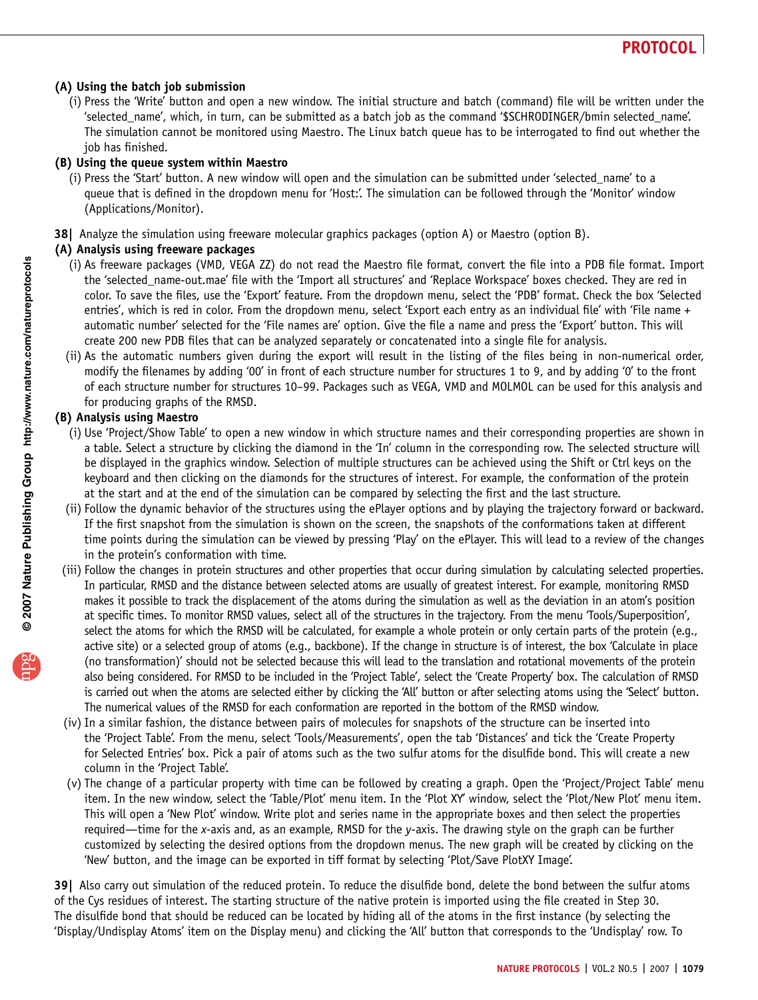### (A) Using the batch job submission

(i) Press the 'Write' button and open a new window. The initial structure and batch (command) file will be written under the 'selected\_name', which, in turn, can be submitted as a batch job as the command '\$SCHRODINGER/bmin selected\_name'. The simulation cannot be monitored using Maestro. The Linux batch queue has to be interrogated to find out whether the job has finished.

### (B) Using the queue system within Maestro

- (i) Press the 'Start' button. A new window will open and the simulation can be submitted under 'selected\_name' to a queue that is defined in the dropdown menu for 'Host:'. The simulation can be followed through the 'Monitor' window (Applications/Monitor).
- 38| Analyze the simulation using freeware molecular graphics packages (option A) or Maestro (option B).

### (A) Analysis using freeware packages

- (i) As freeware packages (VMD, VEGA ZZ) do not read the Maestro file format, convert the file into a PDB file format. Import the 'selected\_name-out.mae' file with the 'Import all structures' and 'Replace Workspace' boxes checked. They are red in color. To save the files, use the 'Export' feature. From the dropdown menu, select the 'PDB' format. Check the box 'Selected entries', which is red in color. From the dropdown menu, select 'Export each entry as an individual file' with 'File name + automatic number' selected for the 'File names are' option. Give the file a name and press the 'Export' button. This will create 200 new PDB files that can be analyzed separately or concatenated into a single file for analysis.
- (ii) As the automatic numbers given during the export will result in the listing of the files being in non-numerical order, modify the filenames by adding '00' in front of each structure number for structures 1 to 9, and by adding '0' to the front of each structure number for structures 10–99. Packages such as VEGA, VMD and MOLMOL can be used for this analysis and for producing graphs of the RMSD.

### (B) Analysis using Maestro

- (i) Use 'Project/Show Table' to open a new window in which structure names and their corresponding properties are shown in a table. Select a structure by clicking the diamond in the 'In' column in the corresponding row. The selected structure will be displayed in the graphics window. Selection of multiple structures can be achieved using the Shift or Ctrl keys on the keyboard and then clicking on the diamonds for the structures of interest. For example, the conformation of the protein at the start and at the end of the simulation can be compared by selecting the first and the last structure.
- (ii) Follow the dynamic behavior of the structures using the ePlayer options and by playing the trajectory forward or backward. If the first snapshot from the simulation is shown on the screen, the snapshots of the conformations taken at different time points during the simulation can be viewed by pressing 'Play' on the ePlayer. This will lead to a review of the changes in the protein's conformation with time.
- (iii) Follow the changes in protein structures and other properties that occur during simulation by calculating selected properties. In particular, RMSD and the distance between selected atoms are usually of greatest interest. For example, monitoring RMSD makes it possible to track the displacement of the atoms during the simulation as well as the deviation in an atom's position at specific times. To monitor RMSD values, select all of the structures in the trajectory. From the menu 'Tools/Superposition', select the atoms for which the RMSD will be calculated, for example a whole protein or only certain parts of the protein (e.g., active site) or a selected group of atoms (e.g., backbone). If the change in structure is of interest, the box 'Calculate in place (no transformation)' should not be selected because this will lead to the translation and rotational movements of the protein also being considered. For RMSD to be included in the 'Project Table', select the 'Create Property' box. The calculation of RMSD is carried out when the atoms are selected either by clicking the 'All' button or after selecting atoms using the 'Select' button. The numerical values of the RMSD for each conformation are reported in the bottom of the RMSD window.
- (iv) In a similar fashion, the distance between pairs of molecules for snapshots of the structure can be inserted into the 'Project Table'. From the menu, select 'Tools/Measurements', open the tab 'Distances' and tick the 'Create Property for Selected Entries' box. Pick a pair of atoms such as the two sulfur atoms for the disulfide bond. This will create a new column in the 'Project Table'.
- (v) The change of a particular property with time can be followed by creating a graph. Open the 'Project/Project Table' menu item. In the new window, select the 'Table/Plot' menu item. In the 'Plot XY' window, select the 'Plot/New Plot' menu item. This will open a 'New Plot' window. Write plot and series name in the appropriate boxes and then select the properties required—time for the x-axis and, as an example, RMSD for the y-axis. The drawing style on the graph can be further customized by selecting the desired options from the dropdown menus. The new graph will be created by clicking on the 'New' button, and the image can be exported in tiff format by selecting 'Plot/Save PlotXY Image'.

39| Also carry out simulation of the reduced protein. To reduce the disulfide bond, delete the bond between the sulfur atoms of the Cys residues of interest. The starting structure of the native protein is imported using the file created in Step 30. The disulfide bond that should be reduced can be located by hiding all of the atoms in the first instance (by selecting the 'Display/Undisplay Atoms' item on the Display menu) and clicking the 'All' button that corresponds to the 'Undisplay' row. To

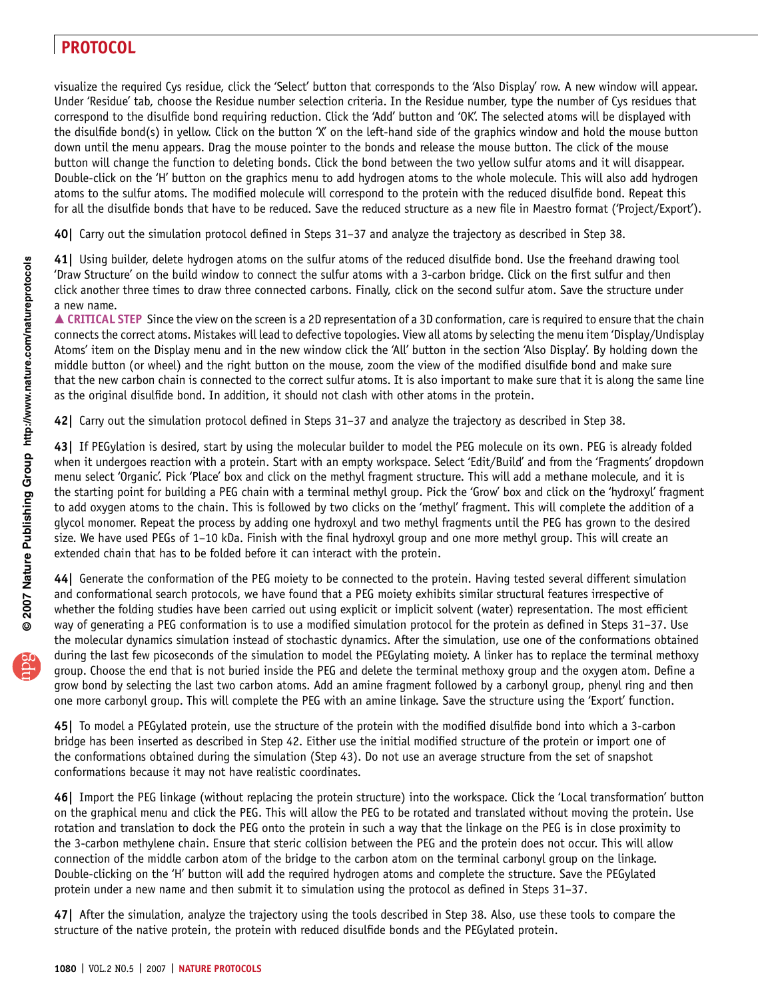visualize the required Cys residue, click the 'Select' button that corresponds to the 'Also Display' row. A new window will appear. Under 'Residue' tab, choose the Residue number selection criteria. In the Residue number, type the number of Cys residues that correspond to the disulfide bond requiring reduction. Click the 'Add' button and 'OK'. The selected atoms will be displayed with the disulfide bond(s) in yellow. Click on the button 'X' on the left-hand side of the graphics window and hold the mouse button down until the menu appears. Drag the mouse pointer to the bonds and release the mouse button. The click of the mouse button will change the function to deleting bonds. Click the bond between the two yellow sulfur atoms and it will disappear. Double-click on the 'H' button on the graphics menu to add hydrogen atoms to the whole molecule. This will also add hydrogen atoms to the sulfur atoms. The modified molecule will correspond to the protein with the reduced disulfide bond. Repeat this for all the disulfide bonds that have to be reduced. Save the reduced structure as a new file in Maestro format ('Project/Export').

40| Carry out the simulation protocol defined in Steps 31–37 and analyze the trajectory as described in Step 38.

41| Using builder, delete hydrogen atoms on the sulfur atoms of the reduced disulfide bond. Use the freehand drawing tool 'Draw Structure' on the build window to connect the sulfur atoms with a 3-carbon bridge. Click on the first sulfur and then click another three times to draw three connected carbons. Finally, click on the second sulfur atom. Save the structure under a new name.

▲ CRITICAL STEP Since the view on the screen is a 2D representation of a 3D conformation, care is required to ensure that the chain connects the correct atoms. Mistakes will lead to defective topologies. View all atoms by selecting the menu item 'Display/Undisplay Atoms' item on the Display menu and in the new window click the 'All' button in the section 'Also Display'. By holding down the middle button (or wheel) and the right button on the mouse, zoom the view of the modified disulfide bond and make sure that the new carbon chain is connected to the correct sulfur atoms. It is also important to make sure that it is along the same line as the original disulfide bond. In addition, it should not clash with other atoms in the protein.

42| Carry out the simulation protocol defined in Steps 31-37 and analyze the trajectory as described in Step 38.

43 If PEGylation is desired, start by using the molecular builder to model the PEG molecule on its own. PEG is already folded when it undergoes reaction with a protein. Start with an empty workspace. Select 'Edit/Build' and from the 'Fragments' dropdown menu select 'Organic'. Pick 'Place' box and click on the methyl fragment structure. This will add a methane molecule, and it is the starting point for building a PEG chain with a terminal methyl group. Pick the 'Grow' box and click on the 'hydroxyl' fragment to add oxygen atoms to the chain. This is followed by two clicks on the 'methyl' fragment. This will complete the addition of a glycol monomer. Repeat the process by adding one hydroxyl and two methyl fragments until the PEG has grown to the desired size. We have used PEGs of 1–10 kDa. Finish with the final hydroxyl group and one more methyl group. This will create an extended chain that has to be folded before it can interact with the protein.

44| Generate the conformation of the PEG moiety to be connected to the protein. Having tested several different simulation and conformational search protocols, we have found that a PEG moiety exhibits similar structural features irrespective of whether the folding studies have been carried out using explicit or implicit solvent (water) representation. The most efficient way of generating a PEG conformation is to use a modified simulation protocol for the protein as defined in Steps 31–37. Use the molecular dynamics simulation instead of stochastic dynamics. After the simulation, use one of the conformations obtained during the last few picoseconds of the simulation to model the PEGylating moiety. A linker has to replace the terminal methoxy group. Choose the end that is not buried inside the PEG and delete the terminal methoxy group and the oxygen atom. Define a grow bond by selecting the last two carbon atoms. Add an amine fragment followed by a carbonyl group, phenyl ring and then one more carbonyl group. This will complete the PEG with an amine linkage. Save the structure using the 'Export' function.

45| To model a PEGylated protein, use the structure of the protein with the modified disulfide bond into which a 3-carbon bridge has been inserted as described in Step 42. Either use the initial modified structure of the protein or import one of the conformations obtained during the simulation (Step 43). Do not use an average structure from the set of snapshot conformations because it may not have realistic coordinates.

46| Import the PEG linkage (without replacing the protein structure) into the workspace. Click the 'Local transformation' button on the graphical menu and click the PEG. This will allow the PEG to be rotated and translated without moving the protein. Use rotation and translation to dock the PEG onto the protein in such a way that the linkage on the PEG is in close proximity to the 3-carbon methylene chain. Ensure that steric collision between the PEG and the protein does not occur. This will allow connection of the middle carbon atom of the bridge to the carbon atom on the terminal carbonyl group on the linkage. Double-clicking on the 'H' button will add the required hydrogen atoms and complete the structure. Save the PEGylated protein under a new name and then submit it to simulation using the protocol as defined in Steps 31–37.

47| After the simulation, analyze the trajectory using the tools described in Step 38. Also, use these tools to compare the structure of the native protein, the protein with reduced disulfide bonds and the PEGylated protein.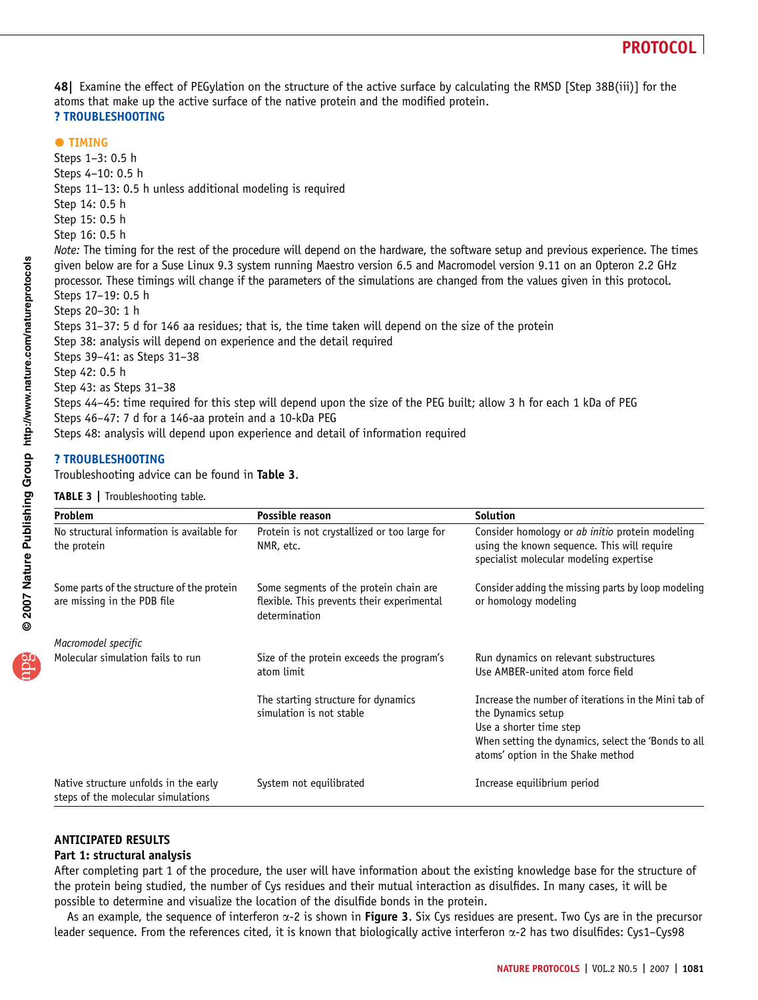48| Examine the effect of PEGylation on the structure of the active surface by calculating the RMSD [Step 38B(iii)] for the atoms that make up the active surface of the native protein and the modified protein. ? TROUBLESHOOTING

#### **O** TIMING

Steps 1–3: 0.5 h Steps 4–10: 0.5 h Steps 11–13: 0.5 h unless additional modeling is required Step 14: 0.5 h Step 15: 0.5 h Step 16: 0.5 h Note: The timing for the rest of the procedure will depend on the hardware, the software setup and previous experience. The times given below are for a Suse Linux 9.3 system running Maestro version 6.5 and Macromodel version 9.11 on an Opteron 2.2 GHz processor. These timings will change if the parameters of the simulations are changed from the values given in this protocol. Steps 17–19: 0.5 h Steps 20–30: 1 h Steps 31–37: 5 d for 146 aa residues; that is, the time taken will depend on the size of the protein Step 38: analysis will depend on experience and the detail required Steps 39–41: as Steps 31–38 Step 42: 0.5 h Step 43: as Steps 31–38 Steps 44–45: time required for this step will depend upon the size of the PEG built; allow 3 h for each 1 kDa of PEG Steps 46–47: 7 d for a 146-aa protein and a 10-kDa PEG Steps 48: analysis will depend upon experience and detail of information required

### ? TROUBLESHOOTING

Troubleshooting advice can be found in Table 3.

TABLE 3 | Troubleshooting table.

| Problem                                                                     | Possible reason                                                                                       | <b>Solution</b>                                                                                                                                                                                   |
|-----------------------------------------------------------------------------|-------------------------------------------------------------------------------------------------------|---------------------------------------------------------------------------------------------------------------------------------------------------------------------------------------------------|
| No structural information is available for<br>the protein                   | Protein is not crystallized or too large for<br>NMR, etc.                                             | Consider homology or <i>ab initio</i> protein modeling<br>using the known sequence. This will require<br>specialist molecular modeling expertise                                                  |
| Some parts of the structure of the protein<br>are missing in the PDB file   | Some segments of the protein chain are<br>flexible. This prevents their experimental<br>determination | Consider adding the missing parts by loop modeling<br>or homology modeling                                                                                                                        |
| Macromodel specific<br>Molecular simulation fails to run                    | Size of the protein exceeds the program's<br>atom limit                                               | Run dynamics on relevant substructures<br>Use AMBER-united atom force field                                                                                                                       |
|                                                                             | The starting structure for dynamics<br>simulation is not stable                                       | Increase the number of iterations in the Mini tab of<br>the Dynamics setup<br>Use a shorter time step<br>When setting the dynamics, select the 'Bonds to all<br>atoms' option in the Shake method |
| Native structure unfolds in the early<br>steps of the molecular simulations | System not equilibrated                                                                               | Increase equilibrium period                                                                                                                                                                       |

### ANTICIPATED RESULTS

#### Part 1: structural analysis

After completing part 1 of the procedure, the user will have information about the existing knowledge base for the structure of the protein being studied, the number of Cys residues and their mutual interaction as disulfides. In many cases, it will be possible to determine and visualize the location of the disulfide bonds in the protein.

As an example, the sequence of interferon  $\alpha$ -2 is shown in Figure 3. Six Cys residues are present. Two Cys are in the precursor leader sequence. From the references cited, it is known that biologically active interferon  $\alpha$ -2 has two disulfides: Cys1–Cys98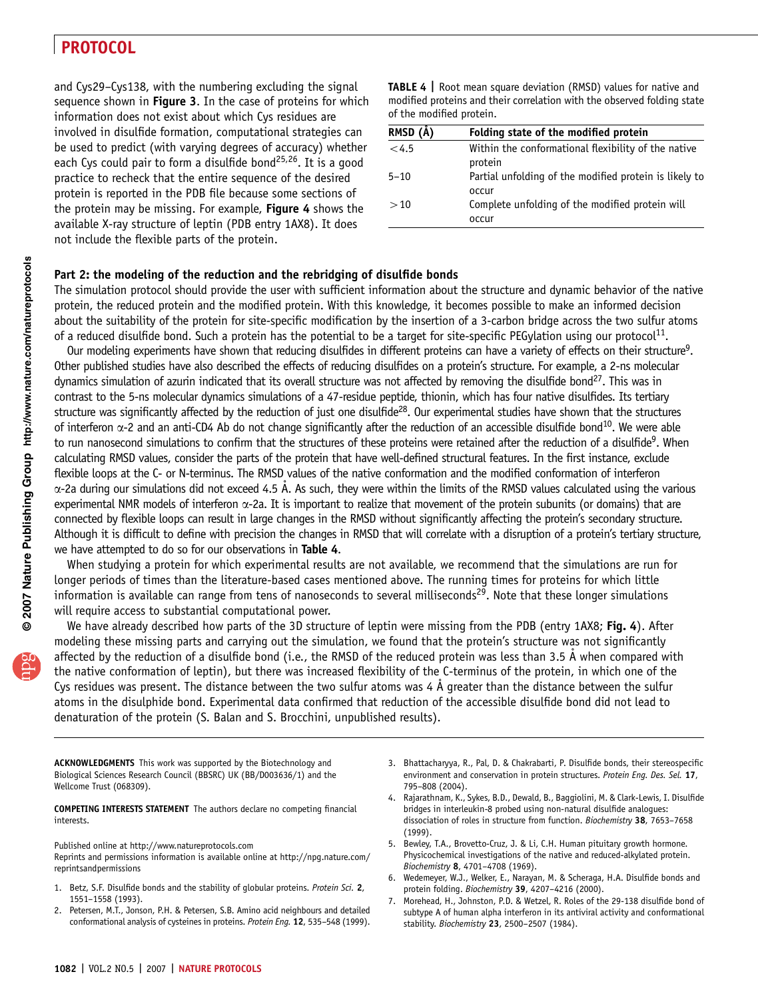and Cys29–Cys138, with the numbering excluding the signal sequence shown in Figure 3. In the case of proteins for which information does not exist about which Cys residues are involved in disulfide formation, computational strategies can be used to predict (with varying degrees of accuracy) whether each Cys could pair to form a disulfide bond<sup>25,26</sup>. It is a good practice to recheck that the entire sequence of the desired protein is reported in the PDB file because some sections of the protein may be missing. For example, **Figure 4** shows the available X-ray structure of leptin (PDB entry 1AX8). It does not include the flexible parts of the protein.

TABLE 4 | Root mean square deviation (RMSD) values for native and modified proteins and their correlation with the observed folding state of the modified protein.

| RMSD (A) | Folding state of the modified protein                           |
|----------|-----------------------------------------------------------------|
| < 4.5    | Within the conformational flexibility of the native<br>protein  |
| $5 - 10$ | Partial unfolding of the modified protein is likely to<br>occur |
| >10      | Complete unfolding of the modified protein will<br>occur        |

### Part 2: the modeling of the reduction and the rebridging of disulfide bonds

The simulation protocol should provide the user with sufficient information about the structure and dynamic behavior of the native protein, the reduced protein and the modified protein. With this knowledge, it becomes possible to make an informed decision about the suitability of the protein for site-specific modification by the insertion of a 3-carbon bridge across the two sulfur atoms of a reduced disulfide bond. Such a protein has the potential to be a target for site-specific PEGylation using our protocol<sup>11</sup>.

Our modeling experiments have shown that reducing disulfides in different proteins can have a variety of effects on their structure<sup>9</sup>. Other published studies have also described the effects of reducing disulfides on a protein's structure. For example, a 2-ns molecular dynamics simulation of azurin indicated that its overall structure was not affected by removing the disulfide bond<sup>27</sup>. This was in contrast to the 5-ns molecular dynamics simulations of a 47-residue peptide, thionin, which has four native disulfides. Its tertiary structure was significantly affected by the reduction of just one disulfide<sup>28</sup>. Our experimental studies have shown that the structures of interferon  $\alpha$ -2 and an anti-CD4 Ab do not change significantly after the reduction of an accessible disulfide bond<sup>10</sup>. We were able to run nanosecond simulations to confirm that the structures of these proteins were retained after the reduction of a disulfide<sup>9</sup>. When calculating RMSD values, consider the parts of the protein that have well-defined structural features. In the first instance, exclude flexible loops at the C- or N-terminus. The RMSD values of the native conformation and the modified conformation of interferon  $\alpha$ -2a during our simulations did not exceed 4.5 Å. As such, they were within the limits of the RMSD values calculated using the various experimental NMR models of interferon a-2a. It is important to realize that movement of the protein subunits (or domains) that are connected by flexible loops can result in large changes in the RMSD without significantly affecting the protein's secondary structure. Although it is difficult to define with precision the changes in RMSD that will correlate with a disruption of a protein's tertiary structure, we have attempted to do so for our observations in Table 4.

When studying a protein for which experimental results are not available, we recommend that the simulations are run for longer periods of times than the literature-based cases mentioned above. The running times for proteins for which little information is available can range from tens of nanoseconds to several milliseconds<sup>29</sup>. Note that these longer simulations will require access to substantial computational power.

We have already described how parts of the 3D structure of leptin were missing from the PDB (entry 1AX8; Fig. 4). After modeling these missing parts and carrying out the simulation, we found that the protein's structure was not significantly affected by the reduction of a disulfide bond (i.e., the RMSD of the reduced protein was less than 3.5 A when compared with the native conformation of leptin), but there was increased flexibility of the C-terminus of the protein, in which one of the Cys residues was present. The distance between the two sulfur atoms was 4 A˚ greater than the distance between the sulfur atoms in the disulphide bond. Experimental data confirmed that reduction of the accessible disulfide bond did not lead to denaturation of the protein (S. Balan and S. Brocchini, unpublished results).

ACKNOWLEDGMENTS This work was supported by the Biotechnology and Biological Sciences Research Council (BBSRC) UK (BB/D003636/1) and the Wellcome Trust (068309).

COMPETING INTERESTS STATEMENT The authors declare no competing financial interests.

#### Published online at http://www.natureprotocols.com

Reprints and permissions information is available online at http://npg.nature.com/ reprintsandpermissions

- 1. Betz, S.F. Disulfide bonds and the stability of globular proteins. Protein Sci. 2, 1551–1558 (1993).
- 2. Petersen, M.T., Jonson, P.H. & Petersen, S.B. Amino acid neighbours and detailed conformational analysis of cysteines in proteins. Protein Eng. 12, 535–548 (1999).
- 3. Bhattacharyya, R., Pal, D. & Chakrabarti, P. Disulfide bonds, their stereospecific environment and conservation in protein structures. Protein Eng. Des. Sel. 17, 795–808 (2004).
- 4. Rajarathnam, K., Sykes, B.D., Dewald, B., Baggiolini, M. & Clark-Lewis, I. Disulfide bridges in interleukin-8 probed using non-natural disulfide analogues: dissociation of roles in structure from function. Biochemistry 38, 7653-7658 (1999).
- 5. Bewley, T.A., Brovetto-Cruz, J. & Li, C.H. Human pituitary growth hormone. Physicochemical investigations of the native and reduced-alkylated protein. Biochemistry 8, 4701–4708 (1969).
- 6. Wedemeyer, W.J., Welker, E., Narayan, M. & Scheraga, H.A. Disulfide bonds and protein folding. Biochemistry 39, 4207-4216 (2000).
- 7. Morehead, H., Johnston, P.D. & Wetzel, R. Roles of the 29-138 disulfide bond of subtype A of human alpha interferon in its antiviral activity and conformational stability. Biochemistry 23, 2500–2507 (1984).